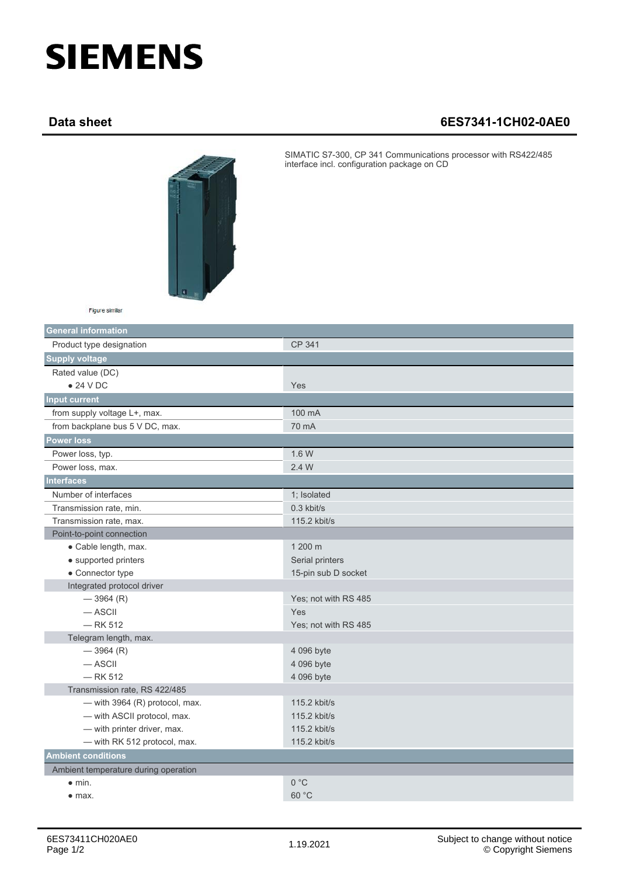## **SIEMENS**

## **Data sheet 6ES7341-1CH02-0AE0**



SIMATIC S7-300, CP 341 Communications processor with RS422/485 interface incl. configuration package on CD

| Figure similar |  |
|----------------|--|
|                |  |

| <b>General information</b>           |                      |  |
|--------------------------------------|----------------------|--|
| Product type designation             | <b>CP 341</b>        |  |
| <b>Supply voltage</b>                |                      |  |
| Rated value (DC)                     |                      |  |
| $\bullet$ 24 V DC                    | Yes                  |  |
| <b>Input current</b>                 |                      |  |
| from supply voltage L+, max.         | 100 mA               |  |
| from backplane bus 5 V DC, max.      | 70 mA                |  |
| <b>Power loss</b>                    |                      |  |
| Power loss, typ.                     | 1.6 W                |  |
| Power loss, max.                     | 2.4 W                |  |
| <b>Interfaces</b>                    |                      |  |
| Number of interfaces                 | 1; Isolated          |  |
| Transmission rate, min.              | 0.3 kbit/s           |  |
| Transmission rate, max.              | 115.2 kbit/s         |  |
| Point-to-point connection            |                      |  |
| • Cable length, max.                 | 1 200 m              |  |
| • supported printers                 | Serial printers      |  |
| • Connector type                     | 15-pin sub D socket  |  |
| Integrated protocol driver           |                      |  |
| $-3964(R)$                           | Yes; not with RS 485 |  |
| $-$ ASCII                            | Yes                  |  |
| $-$ RK 512                           | Yes; not with RS 485 |  |
| Telegram length, max.                |                      |  |
| $-3964(R)$                           | 4 096 byte           |  |
| $-$ ASCII                            | 4 096 byte           |  |
| $-$ RK 512                           | 4 096 byte           |  |
| Transmission rate, RS 422/485        |                      |  |
| — with 3964 $(R)$ protocol, max.     | 115.2 kbit/s         |  |
| - with ASCII protocol, max.          | 115.2 kbit/s         |  |
| - with printer driver, max.          | 115.2 kbit/s         |  |
| - with RK 512 protocol, max.         | 115.2 kbit/s         |  |
| <b>Ambient conditions</b>            |                      |  |
| Ambient temperature during operation |                      |  |
| $\bullet$ min.                       | 0 °C                 |  |
| $\bullet$ max.                       | 60 °C                |  |